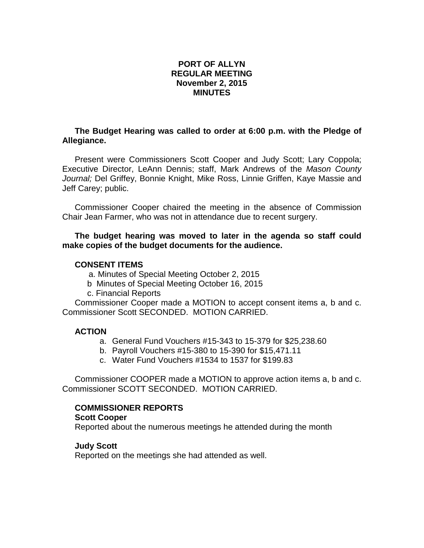# **PORT OF ALLYN REGULAR MEETING November 2, 2015 MINUTES**

# **The Budget Hearing was called to order at 6:00 p.m. with the Pledge of Allegiance.**

Present were Commissioners Scott Cooper and Judy Scott; Lary Coppola; Executive Director, LeAnn Dennis; staff, Mark Andrews of the *Mason County Journal;* Del Griffey, Bonnie Knight, Mike Ross, Linnie Griffen, Kaye Massie and Jeff Carey; public.

Commissioner Cooper chaired the meeting in the absence of Commission Chair Jean Farmer, who was not in attendance due to recent surgery.

## **The budget hearing was moved to later in the agenda so staff could make copies of the budget documents for the audience.**

#### **CONSENT ITEMS**

- a. Minutes of Special Meeting October 2, 2015
- b Minutes of Special Meeting October 16, 2015
- c. Financial Reports

Commissioner Cooper made a MOTION to accept consent items a, b and c. Commissioner Scott SECONDED. MOTION CARRIED.

### **ACTION**

- a. General Fund Vouchers #15-343 to 15-379 for \$25,238.60
- b. Payroll Vouchers #15-380 to 15-390 for \$15,471.11
- c. Water Fund Vouchers #1534 to 1537 for \$199.83

Commissioner COOPER made a MOTION to approve action items a, b and c. Commissioner SCOTT SECONDED. MOTION CARRIED.

### **COMMISSIONER REPORTS**

#### **Scott Cooper**

Reported about the numerous meetings he attended during the month

### **Judy Scott**

Reported on the meetings she had attended as well.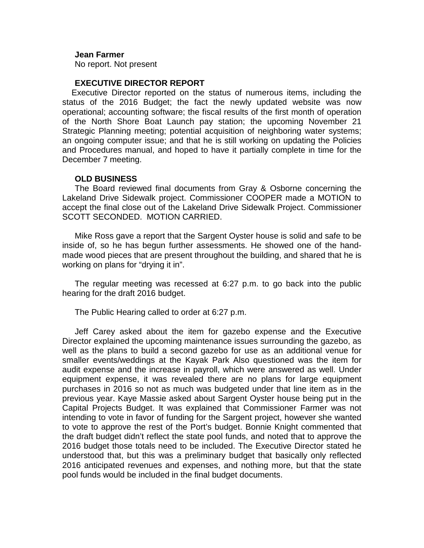#### **Jean Farmer**

No report. Not present

#### **EXECUTIVE DIRECTOR REPORT**

 Executive Director reported on the status of numerous items, including the status of the 2016 Budget; the fact the newly updated website was now operational; accounting software; the fiscal results of the first month of operation of the North Shore Boat Launch pay station; the upcoming November 21 Strategic Planning meeting; potential acquisition of neighboring water systems; an ongoing computer issue; and that he is still working on updating the Policies and Procedures manual, and hoped to have it partially complete in time for the December 7 meeting.

#### **OLD BUSINESS**

The Board reviewed final documents from Gray & Osborne concerning the Lakeland Drive Sidewalk project. Commissioner COOPER made a MOTION to accept the final close out of the Lakeland Drive Sidewalk Project. Commissioner SCOTT SECONDED. MOTION CARRIED.

Mike Ross gave a report that the Sargent Oyster house is solid and safe to be inside of, so he has begun further assessments. He showed one of the handmade wood pieces that are present throughout the building, and shared that he is working on plans for "drying it in".

The regular meeting was recessed at 6:27 p.m. to go back into the public hearing for the draft 2016 budget.

The Public Hearing called to order at 6:27 p.m.

Jeff Carey asked about the item for gazebo expense and the Executive Director explained the upcoming maintenance issues surrounding the gazebo, as well as the plans to build a second gazebo for use as an additional venue for smaller events/weddings at the Kayak Park Also questioned was the item for audit expense and the increase in payroll, which were answered as well. Under equipment expense, it was revealed there are no plans for large equipment purchases in 2016 so not as much was budgeted under that line item as in the previous year. Kaye Massie asked about Sargent Oyster house being put in the Capital Projects Budget. It was explained that Commissioner Farmer was not intending to vote in favor of funding for the Sargent project, however she wanted to vote to approve the rest of the Port's budget. Bonnie Knight commented that the draft budget didn't reflect the state pool funds, and noted that to approve the 2016 budget those totals need to be included. The Executive Director stated he understood that, but this was a preliminary budget that basically only reflected 2016 anticipated revenues and expenses, and nothing more, but that the state pool funds would be included in the final budget documents.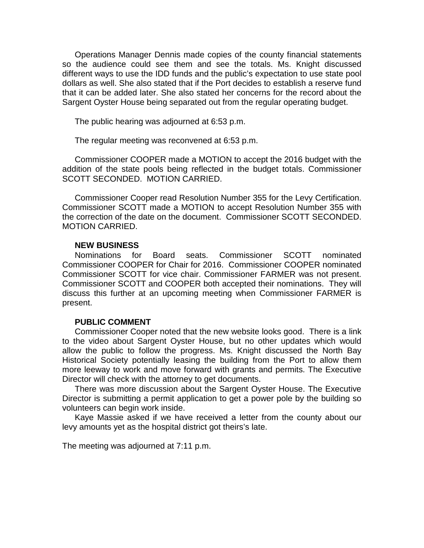Operations Manager Dennis made copies of the county financial statements so the audience could see them and see the totals. Ms. Knight discussed different ways to use the IDD funds and the public's expectation to use state pool dollars as well. She also stated that if the Port decides to establish a reserve fund that it can be added later. She also stated her concerns for the record about the Sargent Oyster House being separated out from the regular operating budget.

The public hearing was adjourned at 6:53 p.m.

The regular meeting was reconvened at 6:53 p.m.

Commissioner COOPER made a MOTION to accept the 2016 budget with the addition of the state pools being reflected in the budget totals. Commissioner SCOTT SECONDED. MOTION CARRIED.

Commissioner Cooper read Resolution Number 355 for the Levy Certification. Commissioner SCOTT made a MOTION to accept Resolution Number 355 with the correction of the date on the document. Commissioner SCOTT SECONDED. MOTION CARRIED.

### **NEW BUSINESS**

Nominations for Board seats. Commissioner SCOTT nominated Commissioner COOPER for Chair for 2016. Commissioner COOPER nominated Commissioner SCOTT for vice chair. Commissioner FARMER was not present. Commissioner SCOTT and COOPER both accepted their nominations. They will discuss this further at an upcoming meeting when Commissioner FARMER is present.

### **PUBLIC COMMENT**

Commissioner Cooper noted that the new website looks good. There is a link to the video about Sargent Oyster House, but no other updates which would allow the public to follow the progress. Ms. Knight discussed the North Bay Historical Society potentially leasing the building from the Port to allow them more leeway to work and move forward with grants and permits. The Executive Director will check with the attorney to get documents.

There was more discussion about the Sargent Oyster House. The Executive Director is submitting a permit application to get a power pole by the building so volunteers can begin work inside.

Kaye Massie asked if we have received a letter from the county about our levy amounts yet as the hospital district got theirs's late.

The meeting was adjourned at 7:11 p.m.